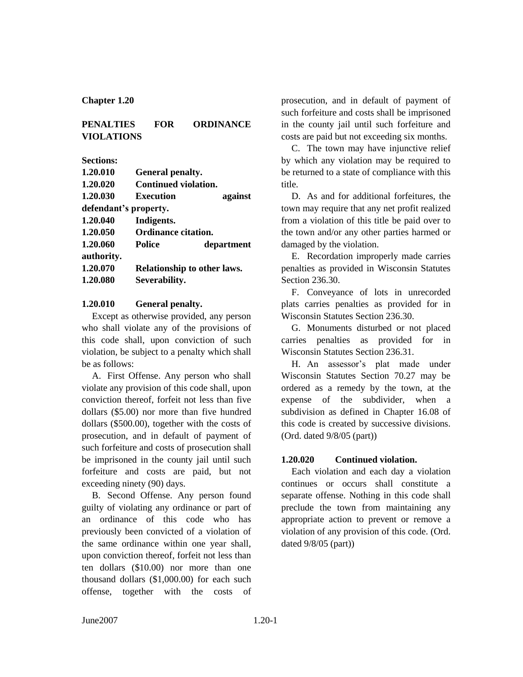#### **Chapter 1.20**

### **PENALTIES FOR ORDINANCE VIOLATIONS**

**Sections:**

| 1.20.010   | General penalty.            |            |
|------------|-----------------------------|------------|
| 1.20.020   | Continued violation.        |            |
| 1.20.030   | Execution                   | against    |
|            | defendant's property.       |            |
| 1.20.040   | Indigents.                  |            |
| 1.20.050   | <b>Ordinance citation.</b>  |            |
| 1.20.060   | <b>Police</b>               | department |
| authority. |                             |            |
| 1.20.070   | Relationship to other laws. |            |
| 1.20.080   | Severability.               |            |

#### **1.20.010 General penalty.**

Except as otherwise provided, any person who shall violate any of the provisions of this code shall, upon conviction of such violation, be subject to a penalty which shall be as follows:

A. First Offense. Any person who shall violate any provision of this code shall, upon conviction thereof, forfeit not less than five dollars (\$5.00) nor more than five hundred dollars (\$500.00), together with the costs of prosecution, and in default of payment of such forfeiture and costs of prosecution shall be imprisoned in the county jail until such forfeiture and costs are paid, but not exceeding ninety (90) days.

B. Second Offense. Any person found guilty of violating any ordinance or part of an ordinance of this code who has previously been convicted of a violation of the same ordinance within one year shall, upon conviction thereof, forfeit not less than ten dollars (\$10.00) nor more than one thousand dollars (\$1,000.00) for each such offense, together with the costs of

prosecution, and in default of payment of such forfeiture and costs shall be imprisoned in the county jail until such forfeiture and costs are paid but not exceeding six months.

C. The town may have injunctive relief by which any violation may be required to be returned to a state of compliance with this title.

D. As and for additional forfeitures, the town may require that any net profit realized from a violation of this title be paid over to the town and/or any other parties harmed or damaged by the violation.

E. Recordation improperly made carries penalties as provided in Wisconsin Statutes Section 236.30.

F. Conveyance of lots in unrecorded plats carries penalties as provided for in Wisconsin Statutes Section 236.30.

G. Monuments disturbed or not placed carries penalties as provided for in Wisconsin Statutes Section 236.31.

H. An assessor's plat made under Wisconsin Statutes Section 70.27 may be ordered as a remedy by the town, at the expense of the subdivider, when a subdivision as defined in Chapter 16.08 of this code is created by successive divisions. (Ord. dated 9/8/05 (part))

#### **1.20.020 Continued violation.**

Each violation and each day a violation continues or occurs shall constitute a separate offense. Nothing in this code shall preclude the town from maintaining any appropriate action to prevent or remove a violation of any provision of this code. (Ord. dated 9/8/05 (part))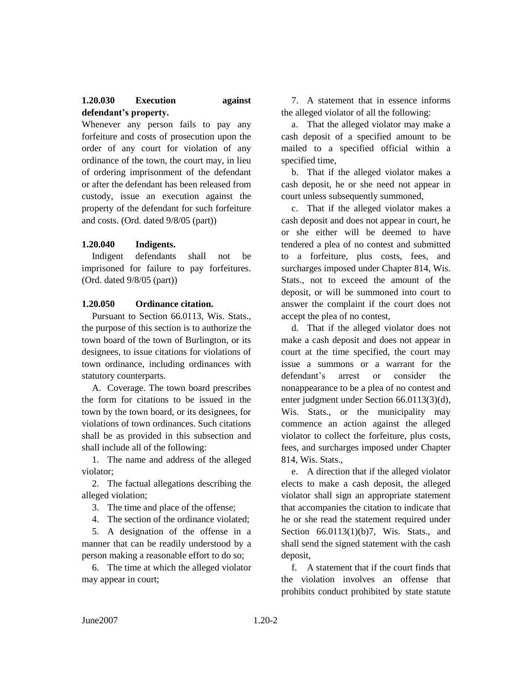# **1.20.030 Execution against defendant's property.**

Whenever any person fails to pay any forfeiture and costs of prosecution upon the order of any court for violation of any ordinance of the town, the court may, in lieu of ordering imprisonment of the defendant or after the defendant has been released from custody, issue an execution against the property of the defendant for such forfeiture and costs. (Ord. dated 9/8/05 (part))

## **1.20.040 Indigents.**

Indigent defendants shall not be imprisoned for failure to pay forfeitures. (Ord. dated 9/8/05 (part))

#### **1.20.050 Ordinance citation.**

Pursuant to Section 66.0113, Wis. Stats., the purpose of this section is to authorize the town board of the town of Burlington, or its designees, to issue citations for violations of town ordinance, including ordinances with statutory counterparts.

A. Coverage. The town board prescribes the form for citations to be issued in the town by the town board, or its designees, for violations of town ordinances. Such citations shall be as provided in this subsection and shall include all of the following:

1. The name and address of the alleged violator;

2. The factual allegations describing the alleged violation;

3. The time and place of the offense;

4. The section of the ordinance violated; 5. A designation of the offense in a

manner that can be readily understood by a person making a reasonable effort to do so;

6. The time at which the alleged violator may appear in court;

7. A statement that in essence informs the alleged violator of all the following:

a. That the alleged violator may make a cash deposit of a specified amount to be mailed to a specified official within a specified time,

b. That if the alleged violator makes a cash deposit, he or she need not appear in court unless subsequently summoned,

c. That if the alleged violator makes a cash deposit and does not appear in court, he or she either will be deemed to have tendered a plea of no contest and submitted to a forfeiture, plus costs, fees, and surcharges imposed under Chapter 814, Wis. Stats., not to exceed the amount of the deposit, or will be summoned into court to answer the complaint if the court does not accept the plea of no contest,

d. That if the alleged violator does not make a cash deposit and does not appear in court at the time specified, the court may issue a summons or a warrant for the defendant's arrest or consider the nonappearance to be a plea of no contest and enter judgment under Section 66.0113(3)(d), Wis. Stats., or the municipality may commence an action against the alleged violator to collect the forfeiture, plus costs, fees, and surcharges imposed under Chapter 814, Wis. Stats.,

e. A direction that if the alleged violator elects to make a cash deposit, the alleged violator shall sign an appropriate statement that accompanies the citation to indicate that he or she read the statement required under Section 66.0113(1)(b)7, Wis. Stats., and shall send the signed statement with the cash deposit,

f. A statement that if the court finds that the violation involves an offense that prohibits conduct prohibited by state statute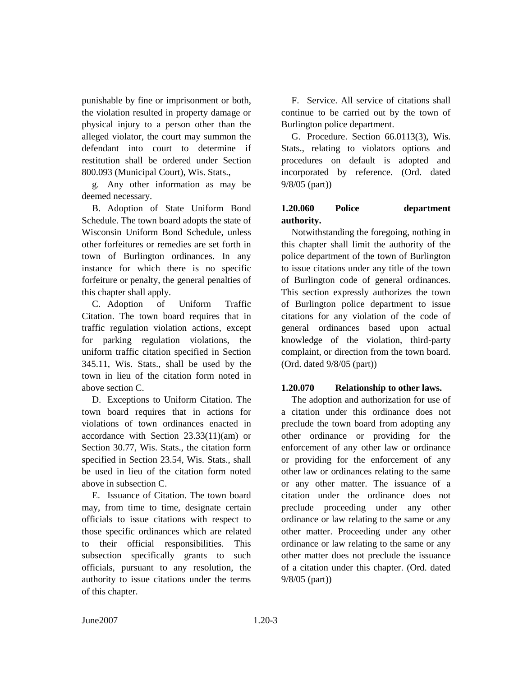punishable by fine or imprisonment or both, the violation resulted in property damage or physical injury to a person other than the alleged violator, the court may summon the defendant into court to determine if restitution shall be ordered under Section 800.093 (Municipal Court), Wis. Stats.,

g. Any other information as may be deemed necessary.

B. Adoption of State Uniform Bond Schedule. The town board adopts the state of Wisconsin Uniform Bond Schedule, unless other forfeitures or remedies are set forth in town of Burlington ordinances. In any instance for which there is no specific forfeiture or penalty, the general penalties of this chapter shall apply.

C. Adoption of Uniform Traffic Citation. The town board requires that in traffic regulation violation actions, except for parking regulation violations, the uniform traffic citation specified in Section 345.11, Wis. Stats., shall be used by the town in lieu of the citation form noted in above section C.

D. Exceptions to Uniform Citation. The town board requires that in actions for violations of town ordinances enacted in accordance with Section 23.33(11)(am) or Section 30.77, Wis. Stats., the citation form specified in Section 23.54, Wis. Stats., shall be used in lieu of the citation form noted above in subsection C.

E. Issuance of Citation. The town board may, from time to time, designate certain officials to issue citations with respect to those specific ordinances which are related to their official responsibilities. This subsection specifically grants to such officials, pursuant to any resolution, the authority to issue citations under the terms of this chapter.

F. Service. All service of citations shall continue to be carried out by the town of Burlington police department.

G. Procedure. Section 66.0113(3), Wis. Stats., relating to violators options and procedures on default is adopted and incorporated by reference. (Ord. dated 9/8/05 (part))

# **1.20.060 Police department authority.**

Notwithstanding the foregoing, nothing in this chapter shall limit the authority of the police department of the town of Burlington to issue citations under any title of the town of Burlington code of general ordinances. This section expressly authorizes the town of Burlington police department to issue citations for any violation of the code of general ordinances based upon actual knowledge of the violation, third-party complaint, or direction from the town board. (Ord. dated 9/8/05 (part))

## **1.20.070 Relationship to other laws.**

The adoption and authorization for use of a citation under this ordinance does not preclude the town board from adopting any other ordinance or providing for the enforcement of any other law or ordinance or providing for the enforcement of any other law or ordinances relating to the same or any other matter. The issuance of a citation under the ordinance does not preclude proceeding under any other ordinance or law relating to the same or any other matter. Proceeding under any other ordinance or law relating to the same or any other matter does not preclude the issuance of a citation under this chapter. (Ord. dated 9/8/05 (part))